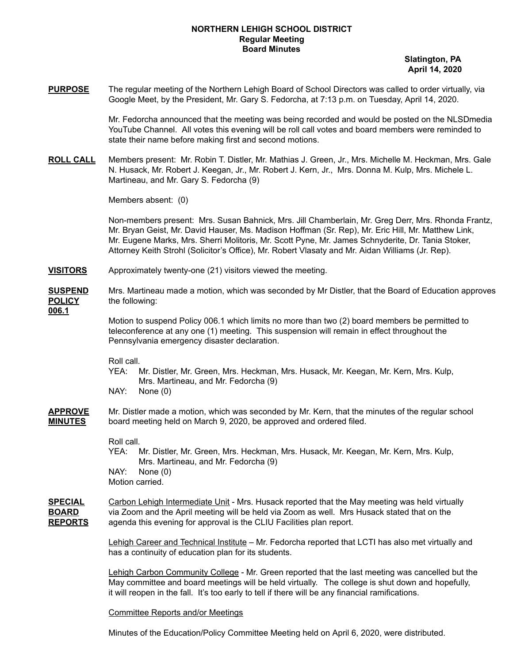## **NORTHERN LEHIGH SCHOOL DISTRICT Regular Meeting Board Minutes**

**Slatington, PA April 14, 2020**

**PURPOSE** The regular meeting of the Northern Lehigh Board of School Directors was called to order virtually, via Google Meet, by the President, Mr. Gary S. Fedorcha, at 7:13 p.m. on Tuesday, April 14, 2020.

> Mr. Fedorcha announced that the meeting was being recorded and would be posted on the NLSDmedia YouTube Channel. All votes this evening will be roll call votes and board members were reminded to state their name before making first and second motions.

**ROLL CALL** Members present: Mr. Robin T. Distler, Mr. Mathias J. Green, Jr., Mrs. Michelle M. Heckman, Mrs. Gale N. Husack, Mr. Robert J. Keegan, Jr., Mr. Robert J. Kern, Jr., Mrs. Donna M. Kulp, Mrs. Michele L. Martineau, and Mr. Gary S. Fedorcha (9)

Members absent: (0)

Non-members present: Mrs. Susan Bahnick, Mrs. Jill Chamberlain, Mr. Greg Derr, Mrs. Rhonda Frantz, Mr. Bryan Geist, Mr. David Hauser, Ms. Madison Hoffman (Sr. Rep), Mr. Eric Hill, Mr. Matthew Link, Mr. Eugene Marks, Mrs. Sherri Molitoris, Mr. Scott Pyne, Mr. James Schnyderite, Dr. Tania Stoker, Attorney Keith Strohl (Solicitor's Office), Mr. Robert Vlasaty and Mr. Aidan Williams (Jr. Rep).

- **VISITORS** Approximately twenty-one (21) visitors viewed the meeting.
- **SUSPEND** Mrs. Martineau made a motion, which was seconded by Mr Distler, that the Board of Education approves **POLICY** the following:

**006.1**

Motion to suspend Policy 006.1 which limits no more than two (2) board members be permitted to teleconference at any one (1) meeting. This suspension will remain in effect throughout the Pennsylvania emergency disaster declaration.

Roll call.

- YEA: Mr. Distler, Mr. Green, Mrs. Heckman, Mrs. Husack, Mr. Keegan, Mr. Kern, Mrs. Kulp, Mrs. Martineau, and Mr. Fedorcha (9)
- NAY: None (0)
- **APPROVE** Mr. Distler made a motion, which was seconded by Mr. Kern, that the minutes of the regular school **MINUTES** board meeting held on March 9, 2020, be approved and ordered filed.

Roll call.

YEA: Mr. Distler, Mr. Green, Mrs. Heckman, Mrs. Husack, Mr. Keegan, Mr. Kern, Mrs. Kulp, Mrs. Martineau, and Mr. Fedorcha (9) NAY: None (0) Motion carried.

**SPECIAL** Carbon Lehigh Intermediate Unit - Mrs. Husack reported that the May meeting was held virtually **BOARD** via Zoom and the April meeting will be held via Zoom as well. Mrs Husack stated that on the **REPORTS** agenda this evening for approval is the CLIU Facilities plan report.

> Lehigh Career and Technical Institute – Mr. Fedorcha reported that LCTI has also met virtually and has a continuity of education plan for its students.

Lehigh Carbon Community College - Mr. Green reported that the last meeting was cancelled but the May committee and board meetings will be held virtually. The college is shut down and hopefully, it will reopen in the fall. It's too early to tell if there will be any financial ramifications.

Committee Reports and/or Meetings

Minutes of the Education/Policy Committee Meeting held on April 6, 2020, were distributed.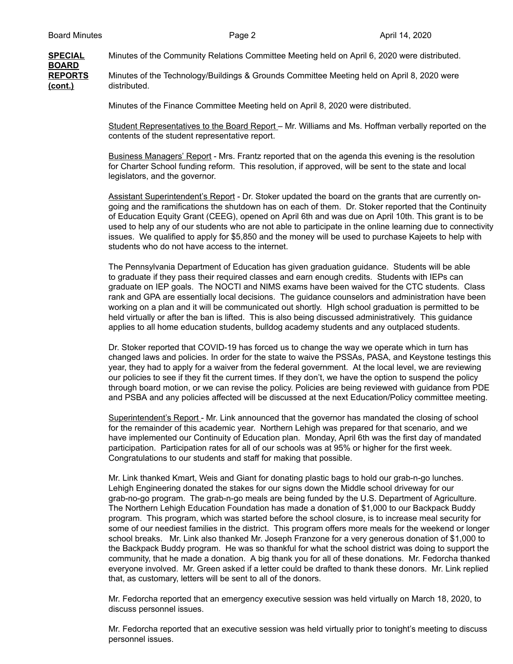**BOARD**

**SPECIAL** Minutes of the Community Relations Committee Meeting held on April 6, 2020 were distributed.

**REPORTS** Minutes of the Technology/Buildings & Grounds Committee Meeting held on April 8, 2020 were **(cont.)** distributed.

Minutes of the Finance Committee Meeting held on April 8, 2020 were distributed.

Student Representatives to the Board Report – Mr. Williams and Ms. Hoffman verbally reported on the contents of the student representative report.

Business Managers' Report - Mrs. Frantz reported that on the agenda this evening is the resolution for Charter School funding reform. This resolution, if approved, will be sent to the state and local legislators, and the governor.

Assistant Superintendent's Report - Dr. Stoker updated the board on the grants that are currently ongoing and the ramifications the shutdown has on each of them. Dr. Stoker reported that the Continuity of Education Equity Grant (CEEG), opened on April 6th and was due on April 10th. This grant is to be used to help any of our students who are not able to participate in the online learning due to connectivity issues. We qualified to apply for \$5,850 and the money will be used to purchase Kajeets to help with students who do not have access to the internet.

The Pennsylvania Department of Education has given graduation guidance. Students will be able to graduate if they pass their required classes and earn enough credits. Students with IEPs can graduate on IEP goals. The NOCTI and NIMS exams have been waived for the CTC students. Class rank and GPA are essentially local decisions. The guidance counselors and administration have been working on a plan and it will be communicated out shortly. HIgh school graduation is permitted to be held virtually or after the ban is lifted. This is also being discussed administratively. This guidance applies to all home education students, bulldog academy students and any outplaced students.

Dr. Stoker reported that COVID-19 has forced us to change the way we operate which in turn has changed laws and policies. In order for the state to waive the PSSAs, PASA, and Keystone testings this year, they had to apply for a waiver from the federal government. At the local level, we are reviewing our policies to see if they fit the current times. If they don't, we have the option to suspend the policy through board motion, or we can revise the policy. Policies are being reviewed with guidance from PDE and PSBA and any policies affected will be discussed at the next Education/Policy committee meeting.

Superintendent's Report - Mr. Link announced that the governor has mandated the closing of school for the remainder of this academic year. Northern Lehigh was prepared for that scenario, and we have implemented our Continuity of Education plan. Monday, April 6th was the first day of mandated participation. Participation rates for all of our schools was at 95% or higher for the first week. Congratulations to our students and staff for making that possible.

Mr. Link thanked Kmart, Weis and Giant for donating plastic bags to hold our grab-n-go lunches. Lehigh Engineering donated the stakes for our signs down the Middle school driveway for our grab-no-go program. The grab-n-go meals are being funded by the U.S. Department of Agriculture. The Northern Lehigh Education Foundation has made a donation of \$1,000 to our Backpack Buddy program. This program, which was started before the school closure, is to increase meal security for some of our neediest families in the district. This program offers more meals for the weekend or longer school breaks. Mr. Link also thanked Mr. Joseph Franzone for a very generous donation of \$1,000 to the Backpack Buddy program. He was so thankful for what the school district was doing to support the community, that he made a donation. A big thank you for all of these donations. Mr. Fedorcha thanked everyone involved. Mr. Green asked if a letter could be drafted to thank these donors. Mr. Link replied that, as customary, letters will be sent to all of the donors.

Mr. Fedorcha reported that an emergency executive session was held virtually on March 18, 2020, to discuss personnel issues.

Mr. Fedorcha reported that an executive session was held virtually prior to tonight's meeting to discuss personnel issues.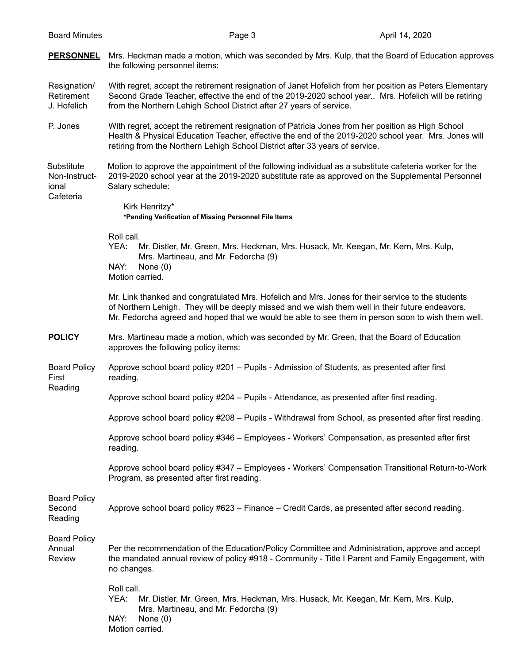**PERSONNEL** Mrs. Heckman made a motion, which was seconded by Mrs. Kulp, that the Board of Education approves the following personnel items:

Resignation/ With regret, accept the retirement resignation of Janet Hofelich from her position as Peters Elementary Retirement Second Grade Teacher, effective the end of the 2019-2020 school year.. Mrs. Hofelich will be retiring J. Hofelich from the Northern Lehigh School District after 27 years of service.

P. Jones With regret, accept the retirement resignation of Patricia Jones from her position as High School Health & Physical Education Teacher, effective the end of the 2019-2020 school year. Mrs. Jones will retiring from the Northern Lehigh School District after 33 years of service.

Substitute Motion to approve the appointment of the following individual as a substitute cafeteria worker for the Non-Instruct- 2019-2020 school year at the 2019-2020 substitute rate as approved on the Supplemental Personnel ional Salary schedule: Cafeteria

> Kirk Henritzy\* **\*Pending Verification of Missing Personnel File Items**

Roll call.

YEA: Mr. Distler, Mr. Green, Mrs. Heckman, Mrs. Husack, Mr. Keegan, Mr. Kern, Mrs. Kulp, Mrs. Martineau, and Mr. Fedorcha (9) NAY: None (0)

Motion carried.

Mr. Link thanked and congratulated Mrs. Hofelich and Mrs. Jones for their service to the students of Northern Lehigh. They will be deeply missed and we wish them well in their future endeavors. Mr. Fedorcha agreed and hoped that we would be able to see them in person soon to wish them well.

- **POLICY** Mrs. Martineau made a motion, which was seconded by Mr. Green, that the Board of Education approves the following policy items:
- Board Policy Approve school board policy #201 Pupils Admission of Students, as presented after first First reading. Reading

Approve school board policy #204 – Pupils - Attendance, as presented after first reading.

Approve school board policy #208 – Pupils - Withdrawal from School, as presented after first reading.

Approve school board policy #346 – Employees - Workers' Compensation, as presented after first reading.

Approve school board policy #347 – Employees - Workers' Compensation Transitional Return-to-Work Program, as presented after first reading.

Board Policy

Second Approve school board policy #623 – Finance – Credit Cards, as presented after second reading. Reading

Board Policy

Annual Per the recommendation of the Education/Policy Committee and Administration, approve and accept Review the mandated annual review of policy #918 - Community - Title I Parent and Family Engagement, with no changes.

> Roll call. YEA: Mr. Distler, Mr. Green, Mrs. Heckman, Mrs. Husack, Mr. Keegan, Mr. Kern, Mrs. Kulp, Mrs. Martineau, and Mr. Fedorcha (9) NAY: None (0) Motion carried.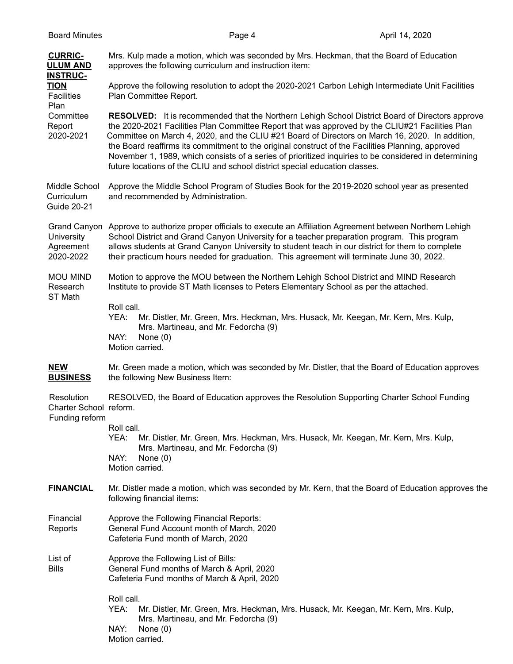| <b>Board Minutes</b>                                   | Page 4                                                                                                                                                                                                                                                                                                                                                                                                                                                                                                                                                                                                    | April 14, 2020 |  |
|--------------------------------------------------------|-----------------------------------------------------------------------------------------------------------------------------------------------------------------------------------------------------------------------------------------------------------------------------------------------------------------------------------------------------------------------------------------------------------------------------------------------------------------------------------------------------------------------------------------------------------------------------------------------------------|----------------|--|
| <b>CURRIC-</b><br><b>ULUM AND</b><br><b>INSTRUC-</b>   | Mrs. Kulp made a motion, which was seconded by Mrs. Heckman, that the Board of Education<br>approves the following curriculum and instruction item:                                                                                                                                                                                                                                                                                                                                                                                                                                                       |                |  |
| <b>TION</b><br><b>Facilities</b><br>Plan               | Approve the following resolution to adopt the 2020-2021 Carbon Lehigh Intermediate Unit Facilities<br>Plan Committee Report.                                                                                                                                                                                                                                                                                                                                                                                                                                                                              |                |  |
| Committee<br>Report<br>2020-2021                       | <b>RESOLVED:</b> It is recommended that the Northern Lehigh School District Board of Directors approve<br>the 2020-2021 Facilities Plan Committee Report that was approved by the CLIU#21 Facilities Plan<br>Committee on March 4, 2020, and the CLIU #21 Board of Directors on March 16, 2020. In addition,<br>the Board reaffirms its commitment to the original construct of the Facilities Planning, approved<br>November 1, 1989, which consists of a series of prioritized inquiries to be considered in determining<br>future locations of the CLIU and school district special education classes. |                |  |
| Middle School<br>Curriculum<br>Guide 20-21             | Approve the Middle School Program of Studies Book for the 2019-2020 school year as presented<br>and recommended by Administration.                                                                                                                                                                                                                                                                                                                                                                                                                                                                        |                |  |
| University<br>Agreement<br>2020-2022                   | Grand Canyon Approve to authorize proper officials to execute an Affiliation Agreement between Northern Lehigh<br>School District and Grand Canyon University for a teacher preparation program. This program<br>allows students at Grand Canyon University to student teach in our district for them to complete<br>their practicum hours needed for graduation. This agreement will terminate June 30, 2022.                                                                                                                                                                                            |                |  |
| <b>MOU MIND</b><br>Research<br>ST Math                 | Motion to approve the MOU between the Northern Lehigh School District and MIND Research<br>Institute to provide ST Math licenses to Peters Elementary School as per the attached.                                                                                                                                                                                                                                                                                                                                                                                                                         |                |  |
|                                                        | Roll call.<br>YEA:<br>Mr. Distler, Mr. Green, Mrs. Heckman, Mrs. Husack, Mr. Keegan, Mr. Kern, Mrs. Kulp,<br>Mrs. Martineau, and Mr. Fedorcha (9)<br>NAY:<br>None $(0)$<br>Motion carried.                                                                                                                                                                                                                                                                                                                                                                                                                |                |  |
| <b>NEW</b><br><b>BUSINESS</b>                          | Mr. Green made a motion, which was seconded by Mr. Distler, that the Board of Education approves<br>the following New Business Item:                                                                                                                                                                                                                                                                                                                                                                                                                                                                      |                |  |
| Resolution<br>Charter School reform.<br>Funding reform | RESOLVED, the Board of Education approves the Resolution Supporting Charter School Funding                                                                                                                                                                                                                                                                                                                                                                                                                                                                                                                |                |  |
|                                                        | Roll call.<br>YEA:<br>Mr. Distler, Mr. Green, Mrs. Heckman, Mrs. Husack, Mr. Keegan, Mr. Kern, Mrs. Kulp,<br>Mrs. Martineau, and Mr. Fedorcha (9)<br>NAY:<br>None $(0)$<br>Motion carried.                                                                                                                                                                                                                                                                                                                                                                                                                |                |  |
| <b>FINANCIAL</b>                                       | Mr. Distler made a motion, which was seconded by Mr. Kern, that the Board of Education approves the<br>following financial items:                                                                                                                                                                                                                                                                                                                                                                                                                                                                         |                |  |
| Financial<br>Reports                                   | Approve the Following Financial Reports:<br>General Fund Account month of March, 2020<br>Cafeteria Fund month of March, 2020                                                                                                                                                                                                                                                                                                                                                                                                                                                                              |                |  |
| List of<br><b>Bills</b>                                | Approve the Following List of Bills:<br>General Fund months of March & April, 2020<br>Cafeteria Fund months of March & April, 2020                                                                                                                                                                                                                                                                                                                                                                                                                                                                        |                |  |
|                                                        | Roll call.<br>YEA:<br>Mr. Distler, Mr. Green, Mrs. Heckman, Mrs. Husack, Mr. Keegan, Mr. Kern, Mrs. Kulp,<br>Mrs. Martineau, and Mr. Fedorcha (9)<br>NAY:<br>None $(0)$<br>Motion carried.                                                                                                                                                                                                                                                                                                                                                                                                                |                |  |